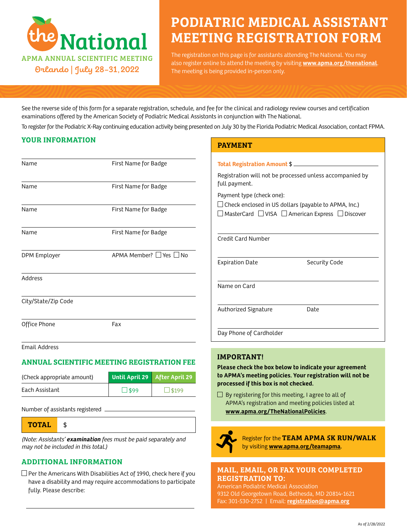

# PODIATRIC MEDICAL ASSISTANT MEETING REGISTRATION FORM

The registration on this page is for assistants attending The National. You may also register online to attend the meeting by visiting **[www.apma.org/thenational](http://www.apma.org/thenational)**. The meeting is being provided in-person only.

See the reverse side of this form for a separate registration, schedule, and fee for the clinical and radiology review courses and certification examinations offered by the American Society of Podiatric Medical Assistants in conjunction with The National.

To register for the Podiatric X-Ray continuing education activity being presented on July 30 by the Florida Podiatric Medical Association, contact FPMA.

## YOUR INFORMATION

| First Name for Badge<br>First Name for Badge |
|----------------------------------------------|
|                                              |
|                                              |
| First Name for Badge                         |
| First Name for Badge                         |
| APMA Member? Yes No                          |
|                                              |
|                                              |
| Fax                                          |
|                                              |

Email Address

## ANNUAL SCIENTIFIC MEETING REGISTRATION FEE

| (Check appropriate amount) | Until April 29 After April 29 |  |
|----------------------------|-------------------------------|--|
| Each Assistant             | $\Box$ \$99                   |  |

Number of assistants registered

TOTAL \$

(Note: Assistants' **examination** fees must be paid separately and may not be included in this total.)

## ADDITIONAL INFORMATION

 $\Box$  Per the Americans With Disabilities Act of 1990, check here if you have a disability and may require accommodations to participate fully. Please describe:

## PAYMENT

| Total Registration Amount \$                                                             |                                                                             |
|------------------------------------------------------------------------------------------|-----------------------------------------------------------------------------|
| full payment.                                                                            | Registration will not be processed unless accompanied by                    |
| Payment type (check one):<br>$\Box$ Check enclosed in US dollars (payable to APMA, Inc.) | $\Box$ MasterCard $\ \Box$ VISA $\ \Box$ American Express $\ \Box$ Discover |
| Credit Card Number                                                                       |                                                                             |
| <b>Expiration Date</b>                                                                   | Security Code                                                               |
| Name on Card                                                                             |                                                                             |
| Authorized Signature                                                                     | Date                                                                        |
| Day Phone of Cardholder                                                                  |                                                                             |

## IMPORTANT!

**Please check the box below to indicate your agreement to APMA's meeting policies. Your registration will not be processed if this box is not checked.**

 $\Box$  By registering for this meeting, I agree to all of APMA's registration and meeting policies listed at **[www.apma.org/TheNationalPolicies](http://www.apma.org/TheNationalPolicies)**.



Register for the TEAM APMA 5K RUN/WALK by visiting **[www.apma.org/teamapma](http://www.apma.org/teamapma)**.

## MAIL, EMAIL, OR FAX YOUR COMPLETED REGISTRATION TO:

American Podiatric Medical Association 9312 Old Georgetown Road, Bethesda, MD 20814-1621 Fax: 301-530-2752 | Email: **[registration@apma.org](mailto:registration%40apma.org?subject=)**